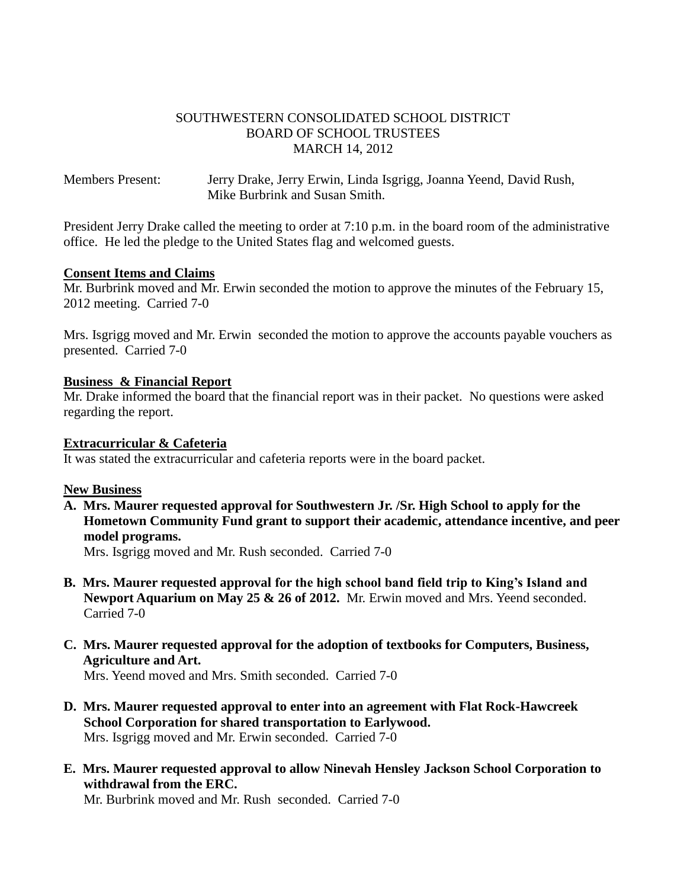## SOUTHWESTERN CONSOLIDATED SCHOOL DISTRICT BOARD OF SCHOOL TRUSTEES MARCH 14, 2012

Members Present: Jerry Drake, Jerry Erwin, Linda Isgrigg, Joanna Yeend, David Rush, Mike Burbrink and Susan Smith.

President Jerry Drake called the meeting to order at 7:10 p.m. in the board room of the administrative office. He led the pledge to the United States flag and welcomed guests.

### **Consent Items and Claims**

Mr. Burbrink moved and Mr. Erwin seconded the motion to approve the minutes of the February 15, 2012 meeting. Carried 7-0

Mrs. Isgrigg moved and Mr. Erwin seconded the motion to approve the accounts payable vouchers as presented. Carried 7-0

### **Business & Financial Report**

Mr. Drake informed the board that the financial report was in their packet. No questions were asked regarding the report.

#### **Extracurricular & Cafeteria**

It was stated the extracurricular and cafeteria reports were in the board packet.

### **New Business**

**A. Mrs. Maurer requested approval for Southwestern Jr. /Sr. High School to apply for the Hometown Community Fund grant to support their academic, attendance incentive, and peer model programs.**

Mrs. Isgrigg moved and Mr. Rush seconded. Carried 7-0

- **B. Mrs. Maurer requested approval for the high school band field trip to King's Island and Newport Aquarium on May 25 & 26 of 2012.** Mr. Erwin moved and Mrs. Yeend seconded. Carried 7-0
- **C. Mrs. Maurer requested approval for the adoption of textbooks for Computers, Business, Agriculture and Art.**

Mrs. Yeend moved and Mrs. Smith seconded. Carried 7-0

- **D. Mrs. Maurer requested approval to enter into an agreement with Flat Rock-Hawcreek School Corporation for shared transportation to Earlywood.** Mrs. Isgrigg moved and Mr. Erwin seconded. Carried 7-0
- **E. Mrs. Maurer requested approval to allow Ninevah Hensley Jackson School Corporation to withdrawal from the ERC.**

Mr. Burbrink moved and Mr. Rush seconded. Carried 7-0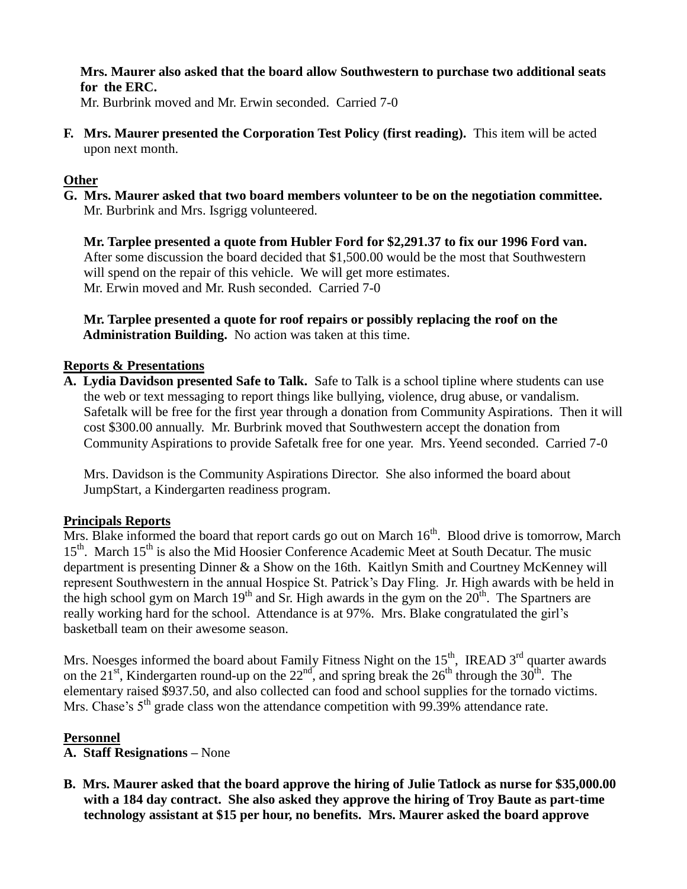**Mrs. Maurer also asked that the board allow Southwestern to purchase two additional seats for the ERC.**

Mr. Burbrink moved and Mr. Erwin seconded. Carried 7-0

**F. Mrs. Maurer presented the Corporation Test Policy (first reading).** This item will be acted upon next month.

## **Other**

**G. Mrs. Maurer asked that two board members volunteer to be on the negotiation committee.** Mr. Burbrink and Mrs. Isgrigg volunteered.

 **Mr. Tarplee presented a quote from Hubler Ford for \$2,291.37 to fix our 1996 Ford van.** After some discussion the board decided that \$1,500.00 would be the most that Southwestern will spend on the repair of this vehicle.We will get more estimates. Mr. Erwin moved and Mr. Rush seconded. Carried 7-0

 **Mr. Tarplee presented a quote for roof repairs or possibly replacing the roof on the Administration Building.** No action was taken at this time.

# **Reports & Presentations**

**A. Lydia Davidson presented Safe to Talk.** Safe to Talk is a school tipline where students can use the web or text messaging to report things like bullying, violence, drug abuse, or vandalism. Safetalk will be free for the first year through a donation from Community Aspirations. Then it will cost \$300.00 annually. Mr. Burbrink moved that Southwestern accept the donation from Community Aspirations to provide Safetalk free for one year. Mrs. Yeend seconded. Carried 7-0

 Mrs. Davidson is the Community Aspirations Director. She also informed the board about JumpStart, a Kindergarten readiness program.

## **Principals Reports**

Mrs. Blake informed the board that report cards go out on March  $16<sup>th</sup>$ . Blood drive is tomorrow, March 15<sup>th</sup>. March 15<sup>th</sup> is also the Mid Hoosier Conference Academic Meet at South Decatur. The music department is presenting Dinner & a Show on the 16th. Kaitlyn Smith and Courtney McKenney will represent Southwestern in the annual Hospice St. Patrick's Day Fling. Jr. High awards with be held in the high school gym on March 19<sup>th</sup> and Sr. High awards in the gym on the  $20<sup>th</sup>$ . The Spartners are really working hard for the school. Attendance is at 97%. Mrs. Blake congratulated the girl's basketball team on their awesome season.

Mrs. Noesges informed the board about Family Fitness Night on the  $15<sup>th</sup>$ , IREAD  $3<sup>rd</sup>$  quarter awards on the 21<sup>st</sup>, Kindergarten round-up on the  $22<sup>nd</sup>$ , and spring break the  $26<sup>th</sup>$  through the  $30<sup>th</sup>$ . The elementary raised \$937.50, and also collected can food and school supplies for the tornado victims. Mrs. Chase's  $5<sup>th</sup>$  grade class won the attendance competition with 99.39% attendance rate.

### **Personnel**

- **A. Staff Resignations –** None
- **B. Mrs. Maurer asked that the board approve the hiring of Julie Tatlock as nurse for \$35,000.00 with a 184 day contract. She also asked they approve the hiring of Troy Baute as part-time technology assistant at \$15 per hour, no benefits. Mrs. Maurer asked the board approve**